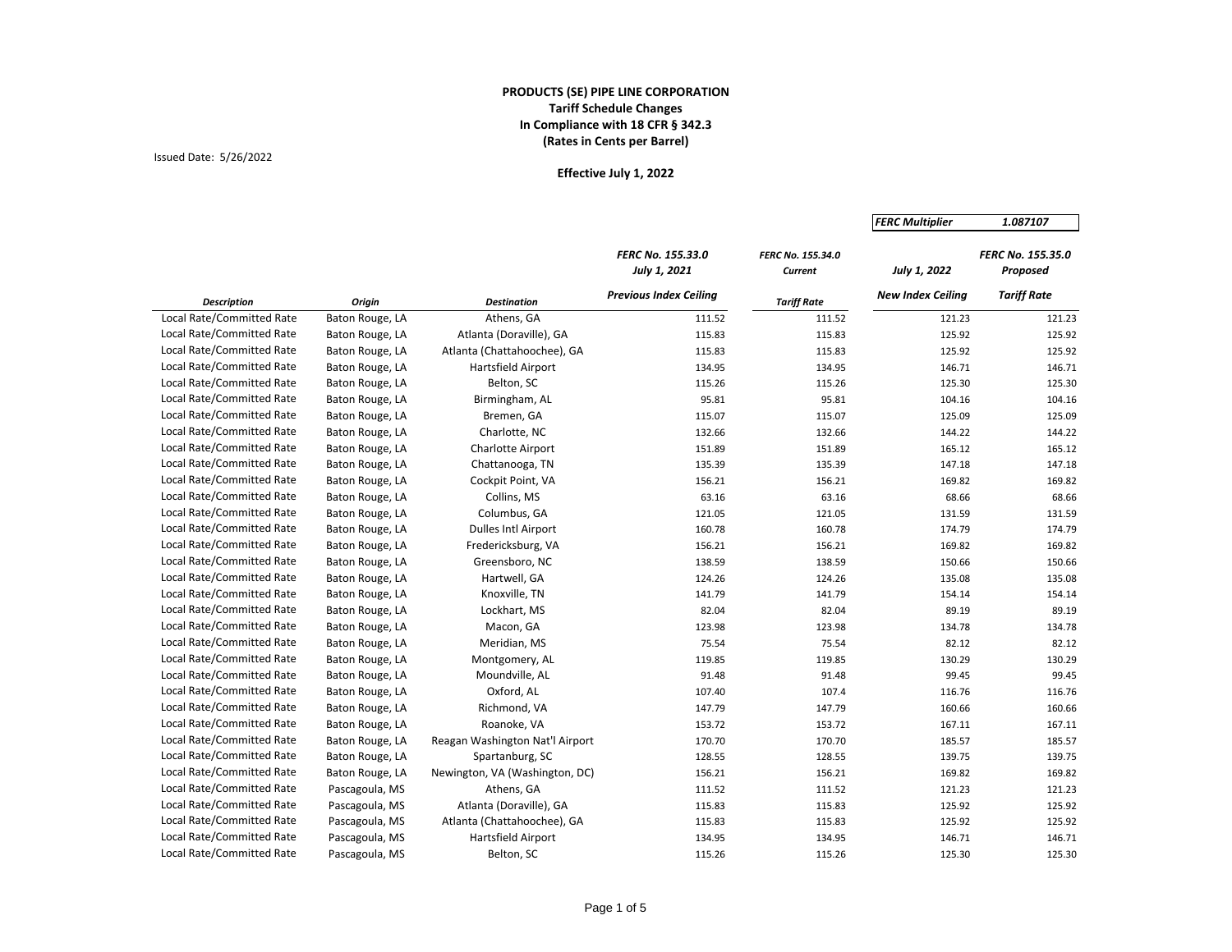# Issued Date: 5/26/2022

|                           |                 |                                 |                                          |                              | <b>FERC Multiplier</b>   | 1.087107                             |
|---------------------------|-----------------|---------------------------------|------------------------------------------|------------------------------|--------------------------|--------------------------------------|
|                           |                 |                                 | <b>FERC No. 155.33.0</b><br>July 1, 2021 | FERC No. 155.34.0<br>Current | July 1, 2022             | <b>FERC No. 155.35.0</b><br>Proposed |
| <b>Description</b>        | Origin          | <b>Destination</b>              | <b>Previous Index Ceiling</b>            | <b>Tariff Rate</b>           | <b>New Index Ceiling</b> | <b>Tariff Rate</b>                   |
| Local Rate/Committed Rate | Baton Rouge, LA | Athens, GA                      | 111.52                                   | 111.52                       | 121.23                   | 121.23                               |
| Local Rate/Committed Rate | Baton Rouge, LA | Atlanta (Doraville), GA         | 115.83                                   | 115.83                       | 125.92                   | 125.92                               |
| Local Rate/Committed Rate | Baton Rouge, LA | Atlanta (Chattahoochee), GA     | 115.83                                   | 115.83                       | 125.92                   | 125.92                               |
| Local Rate/Committed Rate | Baton Rouge, LA | <b>Hartsfield Airport</b>       | 134.95                                   | 134.95                       | 146.71                   | 146.71                               |
| Local Rate/Committed Rate | Baton Rouge, LA | Belton, SC                      | 115.26                                   | 115.26                       | 125.30                   | 125.30                               |
| Local Rate/Committed Rate | Baton Rouge, LA | Birmingham, AL                  | 95.81                                    | 95.81                        | 104.16                   | 104.16                               |
| Local Rate/Committed Rate | Baton Rouge, LA | Bremen, GA                      | 115.07                                   | 115.07                       | 125.09                   | 125.09                               |
| Local Rate/Committed Rate | Baton Rouge, LA | Charlotte, NC                   | 132.66                                   | 132.66                       | 144.22                   | 144.22                               |
| Local Rate/Committed Rate | Baton Rouge, LA | <b>Charlotte Airport</b>        | 151.89                                   | 151.89                       | 165.12                   | 165.12                               |
| Local Rate/Committed Rate | Baton Rouge, LA | Chattanooga, TN                 | 135.39                                   | 135.39                       | 147.18                   | 147.18                               |
| Local Rate/Committed Rate | Baton Rouge, LA | Cockpit Point, VA               | 156.21                                   | 156.21                       | 169.82                   | 169.82                               |
| Local Rate/Committed Rate | Baton Rouge, LA | Collins, MS                     | 63.16                                    | 63.16                        | 68.66                    | 68.66                                |
| Local Rate/Committed Rate | Baton Rouge, LA | Columbus, GA                    | 121.05                                   | 121.05                       | 131.59                   | 131.59                               |
| Local Rate/Committed Rate | Baton Rouge, LA | <b>Dulles Intl Airport</b>      | 160.78                                   | 160.78                       | 174.79                   | 174.79                               |
| Local Rate/Committed Rate | Baton Rouge, LA | Fredericksburg, VA              | 156.21                                   | 156.21                       | 169.82                   | 169.82                               |
| Local Rate/Committed Rate | Baton Rouge, LA | Greensboro, NC                  | 138.59                                   | 138.59                       | 150.66                   | 150.66                               |
| Local Rate/Committed Rate | Baton Rouge, LA | Hartwell, GA                    | 124.26                                   | 124.26                       | 135.08                   | 135.08                               |
| Local Rate/Committed Rate | Baton Rouge, LA | Knoxville, TN                   | 141.79                                   | 141.79                       | 154.14                   | 154.14                               |
| Local Rate/Committed Rate | Baton Rouge, LA | Lockhart, MS                    | 82.04                                    | 82.04                        | 89.19                    | 89.19                                |
| Local Rate/Committed Rate | Baton Rouge, LA | Macon, GA                       | 123.98                                   | 123.98                       | 134.78                   | 134.78                               |
| Local Rate/Committed Rate | Baton Rouge, LA | Meridian, MS                    | 75.54                                    | 75.54                        | 82.12                    | 82.12                                |
| Local Rate/Committed Rate | Baton Rouge, LA | Montgomery, AL                  | 119.85                                   | 119.85                       | 130.29                   | 130.29                               |
| Local Rate/Committed Rate | Baton Rouge, LA | Moundville, AL                  | 91.48                                    | 91.48                        | 99.45                    | 99.45                                |
| Local Rate/Committed Rate | Baton Rouge, LA | Oxford, AL                      | 107.40                                   | 107.4                        | 116.76                   | 116.76                               |
| Local Rate/Committed Rate | Baton Rouge, LA | Richmond, VA                    | 147.79                                   | 147.79                       | 160.66                   | 160.66                               |
| Local Rate/Committed Rate | Baton Rouge, LA | Roanoke, VA                     | 153.72                                   | 153.72                       | 167.11                   | 167.11                               |
| Local Rate/Committed Rate | Baton Rouge, LA | Reagan Washington Nat'l Airport | 170.70                                   | 170.70                       | 185.57                   | 185.57                               |
| Local Rate/Committed Rate | Baton Rouge, LA | Spartanburg, SC                 | 128.55                                   | 128.55                       | 139.75                   | 139.75                               |
| Local Rate/Committed Rate | Baton Rouge, LA | Newington, VA (Washington, DC)  | 156.21                                   | 156.21                       | 169.82                   | 169.82                               |
| Local Rate/Committed Rate | Pascagoula, MS  | Athens, GA                      | 111.52                                   | 111.52                       | 121.23                   | 121.23                               |
| Local Rate/Committed Rate | Pascagoula, MS  | Atlanta (Doraville), GA         | 115.83                                   | 115.83                       | 125.92                   | 125.92                               |
| Local Rate/Committed Rate | Pascagoula, MS  | Atlanta (Chattahoochee), GA     | 115.83                                   | 115.83                       | 125.92                   | 125.92                               |
| Local Rate/Committed Rate | Pascagoula, MS  | Hartsfield Airport              | 134.95                                   | 134.95                       | 146.71                   | 146.71                               |
| Local Rate/Committed Rate | Pascagoula, MS  | Belton, SC                      | 115.26                                   | 115.26                       | 125.30                   | 125.30                               |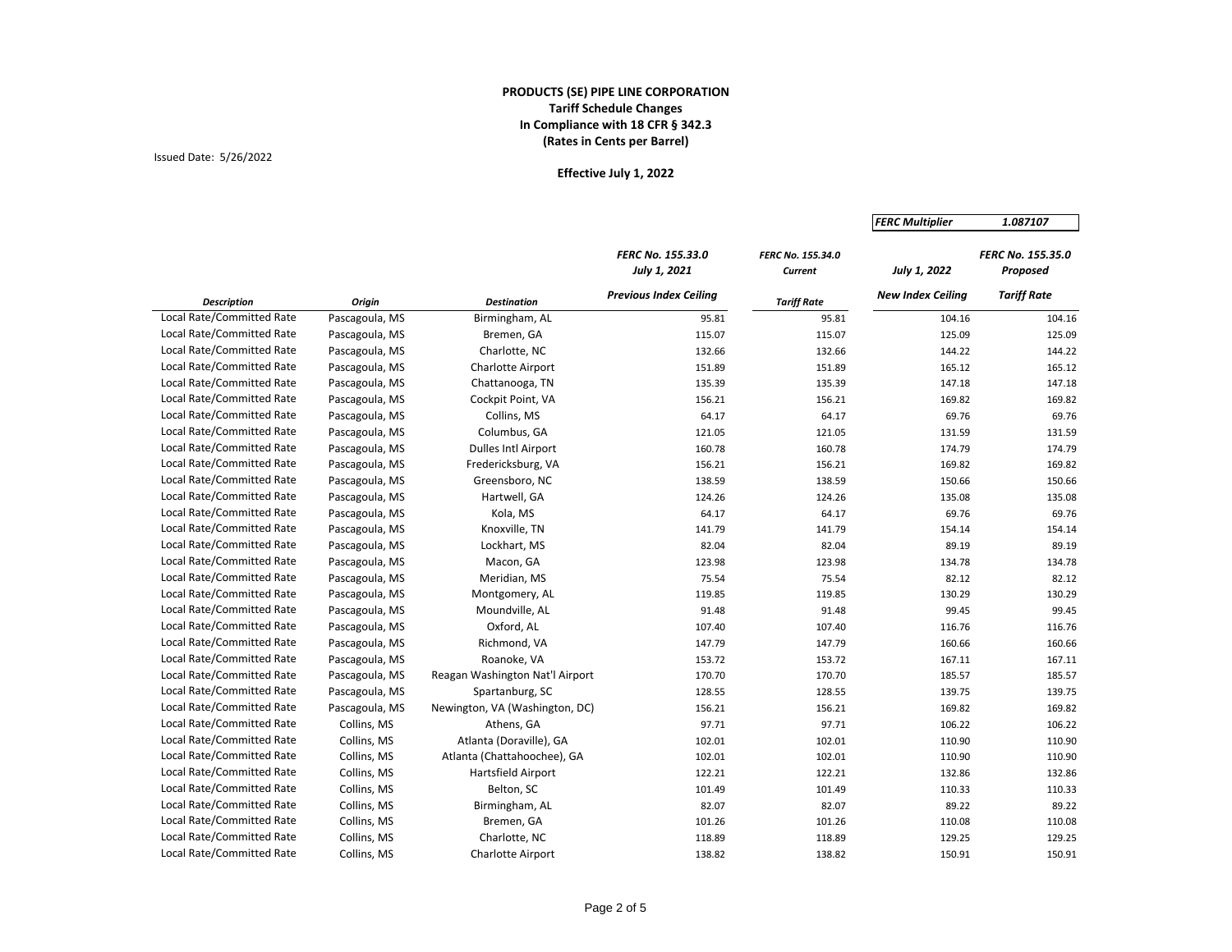# Issued Date: 5/26/2022

|                           |                |                                 |                                          |                              | <b>FERC Multiplier</b>   | 1.087107                      |
|---------------------------|----------------|---------------------------------|------------------------------------------|------------------------------|--------------------------|-------------------------------|
|                           |                |                                 | <b>FERC No. 155.33.0</b><br>July 1, 2021 | FERC No. 155.34.0<br>Current | July 1, 2022             | FERC No. 155.35.0<br>Proposed |
| <b>Description</b>        | Origin         | <b>Destination</b>              | <b>Previous Index Ceiling</b>            | <b>Tariff Rate</b>           | <b>New Index Ceiling</b> | <b>Tariff Rate</b>            |
| Local Rate/Committed Rate | Pascagoula, MS | Birmingham, AL                  | 95.81                                    | 95.81                        | 104.16                   | 104.16                        |
| Local Rate/Committed Rate | Pascagoula, MS | Bremen, GA                      | 115.07                                   | 115.07                       | 125.09                   | 125.09                        |
| Local Rate/Committed Rate | Pascagoula, MS | Charlotte, NC                   | 132.66                                   | 132.66                       | 144.22                   | 144.22                        |
| Local Rate/Committed Rate | Pascagoula, MS | <b>Charlotte Airport</b>        | 151.89                                   | 151.89                       | 165.12                   | 165.12                        |
| Local Rate/Committed Rate | Pascagoula, MS | Chattanooga, TN                 | 135.39                                   | 135.39                       | 147.18                   | 147.18                        |
| Local Rate/Committed Rate | Pascagoula, MS | Cockpit Point, VA               | 156.21                                   | 156.21                       | 169.82                   | 169.82                        |
| Local Rate/Committed Rate | Pascagoula, MS | Collins, MS                     | 64.17                                    | 64.17                        | 69.76                    | 69.76                         |
| Local Rate/Committed Rate | Pascagoula, MS | Columbus, GA                    | 121.05                                   | 121.05                       | 131.59                   | 131.59                        |
| Local Rate/Committed Rate | Pascagoula, MS | <b>Dulles Intl Airport</b>      | 160.78                                   | 160.78                       | 174.79                   | 174.79                        |
| Local Rate/Committed Rate | Pascagoula, MS | Fredericksburg, VA              | 156.21                                   | 156.21                       | 169.82                   | 169.82                        |
| Local Rate/Committed Rate | Pascagoula, MS | Greensboro, NC                  | 138.59                                   | 138.59                       | 150.66                   | 150.66                        |
| Local Rate/Committed Rate | Pascagoula, MS | Hartwell, GA                    | 124.26                                   | 124.26                       | 135.08                   | 135.08                        |
| Local Rate/Committed Rate | Pascagoula, MS | Kola, MS                        | 64.17                                    | 64.17                        | 69.76                    | 69.76                         |
| Local Rate/Committed Rate | Pascagoula, MS | Knoxville, TN                   | 141.79                                   | 141.79                       | 154.14                   | 154.14                        |
| Local Rate/Committed Rate | Pascagoula, MS | Lockhart, MS                    | 82.04                                    | 82.04                        | 89.19                    | 89.19                         |
| Local Rate/Committed Rate | Pascagoula, MS | Macon, GA                       | 123.98                                   | 123.98                       | 134.78                   | 134.78                        |
| Local Rate/Committed Rate | Pascagoula, MS | Meridian, MS                    | 75.54                                    | 75.54                        | 82.12                    | 82.12                         |
| Local Rate/Committed Rate | Pascagoula, MS | Montgomery, AL                  | 119.85                                   | 119.85                       | 130.29                   | 130.29                        |
| Local Rate/Committed Rate | Pascagoula, MS | Moundville, AL                  | 91.48                                    | 91.48                        | 99.45                    | 99.45                         |
| Local Rate/Committed Rate | Pascagoula, MS | Oxford, AL                      | 107.40                                   | 107.40                       | 116.76                   | 116.76                        |
| Local Rate/Committed Rate | Pascagoula, MS | Richmond, VA                    | 147.79                                   | 147.79                       | 160.66                   | 160.66                        |
| Local Rate/Committed Rate | Pascagoula, MS | Roanoke, VA                     | 153.72                                   | 153.72                       | 167.11                   | 167.11                        |
| Local Rate/Committed Rate | Pascagoula, MS | Reagan Washington Nat'l Airport | 170.70                                   | 170.70                       | 185.57                   | 185.57                        |
| Local Rate/Committed Rate | Pascagoula, MS | Spartanburg, SC                 | 128.55                                   | 128.55                       | 139.75                   | 139.75                        |
| Local Rate/Committed Rate | Pascagoula, MS | Newington, VA (Washington, DC)  | 156.21                                   | 156.21                       | 169.82                   | 169.82                        |
| Local Rate/Committed Rate | Collins, MS    | Athens, GA                      | 97.71                                    | 97.71                        | 106.22                   | 106.22                        |
| Local Rate/Committed Rate | Collins, MS    | Atlanta (Doraville), GA         | 102.01                                   | 102.01                       | 110.90                   | 110.90                        |
| Local Rate/Committed Rate | Collins, MS    | Atlanta (Chattahoochee), GA     | 102.01                                   | 102.01                       | 110.90                   | 110.90                        |
| Local Rate/Committed Rate | Collins, MS    | Hartsfield Airport              | 122.21                                   | 122.21                       | 132.86                   | 132.86                        |
| Local Rate/Committed Rate | Collins, MS    | Belton, SC                      | 101.49                                   | 101.49                       | 110.33                   | 110.33                        |
| Local Rate/Committed Rate | Collins, MS    | Birmingham, AL                  | 82.07                                    | 82.07                        | 89.22                    | 89.22                         |
| Local Rate/Committed Rate | Collins, MS    | Bremen, GA                      | 101.26                                   | 101.26                       | 110.08                   | 110.08                        |
| Local Rate/Committed Rate | Collins, MS    | Charlotte, NC                   | 118.89                                   | 118.89                       | 129.25                   | 129.25                        |
| Local Rate/Committed Rate | Collins, MS    | Charlotte Airport               | 138.82                                   | 138.82                       | 150.91                   | 150.91                        |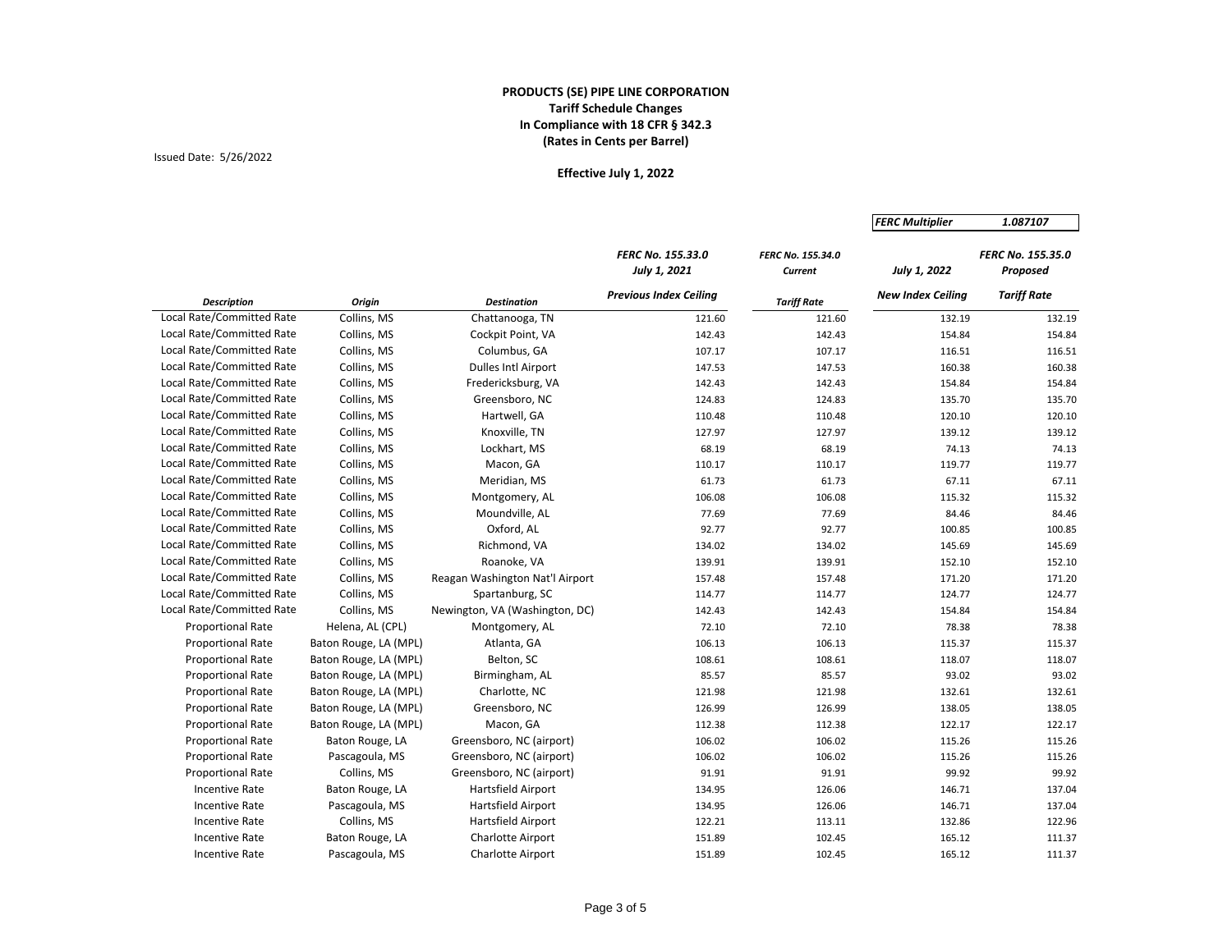# Issued Date: 5/26/2022

|                                  |                       |                                 |                                          |                              | <b>FERC Multiplier</b>   | 1.087107                      |
|----------------------------------|-----------------------|---------------------------------|------------------------------------------|------------------------------|--------------------------|-------------------------------|
|                                  |                       |                                 | <b>FERC No. 155.33.0</b><br>July 1, 2021 | FERC No. 155.34.0<br>Current | July 1, 2022             | FERC No. 155.35.0<br>Proposed |
| <b>Description</b>               | Origin                | <b>Destination</b>              | <b>Previous Index Ceiling</b>            | <b>Tariff Rate</b>           | <b>New Index Ceiling</b> | <b>Tariff Rate</b>            |
| <b>Local Rate/Committed Rate</b> | Collins, MS           | Chattanooga, TN                 | 121.60                                   | 121.60                       | 132.19                   | 132.19                        |
| Local Rate/Committed Rate        | Collins, MS           | Cockpit Point, VA               | 142.43                                   | 142.43                       | 154.84                   | 154.84                        |
| Local Rate/Committed Rate        | Collins, MS           | Columbus, GA                    | 107.17                                   | 107.17                       | 116.51                   | 116.51                        |
| Local Rate/Committed Rate        | Collins, MS           | <b>Dulles Intl Airport</b>      | 147.53                                   | 147.53                       | 160.38                   | 160.38                        |
| Local Rate/Committed Rate        | Collins, MS           | Fredericksburg, VA              | 142.43                                   | 142.43                       | 154.84                   | 154.84                        |
| Local Rate/Committed Rate        | Collins, MS           | Greensboro, NC                  | 124.83                                   | 124.83                       | 135.70                   | 135.70                        |
| Local Rate/Committed Rate        | Collins, MS           | Hartwell, GA                    | 110.48                                   | 110.48                       | 120.10                   | 120.10                        |
| Local Rate/Committed Rate        | Collins, MS           | Knoxville, TN                   | 127.97                                   | 127.97                       | 139.12                   | 139.12                        |
| Local Rate/Committed Rate        | Collins, MS           | Lockhart, MS                    | 68.19                                    | 68.19                        | 74.13                    | 74.13                         |
| Local Rate/Committed Rate        | Collins, MS           | Macon, GA                       | 110.17                                   | 110.17                       | 119.77                   | 119.77                        |
| Local Rate/Committed Rate        | Collins, MS           | Meridian, MS                    | 61.73                                    | 61.73                        | 67.11                    | 67.11                         |
| Local Rate/Committed Rate        | Collins, MS           | Montgomery, AL                  | 106.08                                   | 106.08                       | 115.32                   | 115.32                        |
| Local Rate/Committed Rate        | Collins, MS           | Moundville, AL                  | 77.69                                    | 77.69                        | 84.46                    | 84.46                         |
| Local Rate/Committed Rate        | Collins, MS           | Oxford, AL                      | 92.77                                    | 92.77                        | 100.85                   | 100.85                        |
| Local Rate/Committed Rate        | Collins, MS           | Richmond, VA                    | 134.02                                   | 134.02                       | 145.69                   | 145.69                        |
| Local Rate/Committed Rate        | Collins, MS           | Roanoke, VA                     | 139.91                                   | 139.91                       | 152.10                   | 152.10                        |
| Local Rate/Committed Rate        | Collins, MS           | Reagan Washington Nat'l Airport | 157.48                                   | 157.48                       | 171.20                   | 171.20                        |
| Local Rate/Committed Rate        | Collins, MS           | Spartanburg, SC                 | 114.77                                   | 114.77                       | 124.77                   | 124.77                        |
| Local Rate/Committed Rate        | Collins, MS           | Newington, VA (Washington, DC)  | 142.43                                   | 142.43                       | 154.84                   | 154.84                        |
| Proportional Rate                | Helena, AL (CPL)      | Montgomery, AL                  | 72.10                                    | 72.10                        | 78.38                    | 78.38                         |
| <b>Proportional Rate</b>         | Baton Rouge, LA (MPL) | Atlanta, GA                     | 106.13                                   | 106.13                       | 115.37                   | 115.37                        |
| <b>Proportional Rate</b>         | Baton Rouge, LA (MPL) | Belton, SC                      | 108.61                                   | 108.61                       | 118.07                   | 118.07                        |
| <b>Proportional Rate</b>         | Baton Rouge, LA (MPL) | Birmingham, AL                  | 85.57                                    | 85.57                        | 93.02                    | 93.02                         |
| <b>Proportional Rate</b>         | Baton Rouge, LA (MPL) | Charlotte, NC                   | 121.98                                   | 121.98                       | 132.61                   | 132.61                        |
| <b>Proportional Rate</b>         | Baton Rouge, LA (MPL) | Greensboro, NC                  | 126.99                                   | 126.99                       | 138.05                   | 138.05                        |
| <b>Proportional Rate</b>         | Baton Rouge, LA (MPL) | Macon, GA                       | 112.38                                   | 112.38                       | 122.17                   | 122.17                        |
| <b>Proportional Rate</b>         | Baton Rouge, LA       | Greensboro, NC (airport)        | 106.02                                   | 106.02                       | 115.26                   | 115.26                        |
| <b>Proportional Rate</b>         | Pascagoula, MS        | Greensboro, NC (airport)        | 106.02                                   | 106.02                       | 115.26                   | 115.26                        |
| <b>Proportional Rate</b>         | Collins, MS           | Greensboro, NC (airport)        | 91.91                                    | 91.91                        | 99.92                    | 99.92                         |
| <b>Incentive Rate</b>            | Baton Rouge, LA       | Hartsfield Airport              | 134.95                                   | 126.06                       | 146.71                   | 137.04                        |
| <b>Incentive Rate</b>            | Pascagoula, MS        | Hartsfield Airport              | 134.95                                   | 126.06                       | 146.71                   | 137.04                        |
| <b>Incentive Rate</b>            | Collins, MS           | Hartsfield Airport              | 122.21                                   | 113.11                       | 132.86                   | 122.96                        |
| <b>Incentive Rate</b>            | Baton Rouge, LA       | <b>Charlotte Airport</b>        | 151.89                                   | 102.45                       | 165.12                   | 111.37                        |
| Incentive Rate                   | Pascagoula, MS        | <b>Charlotte Airport</b>        | 151.89                                   | 102.45                       | 165.12                   | 111.37                        |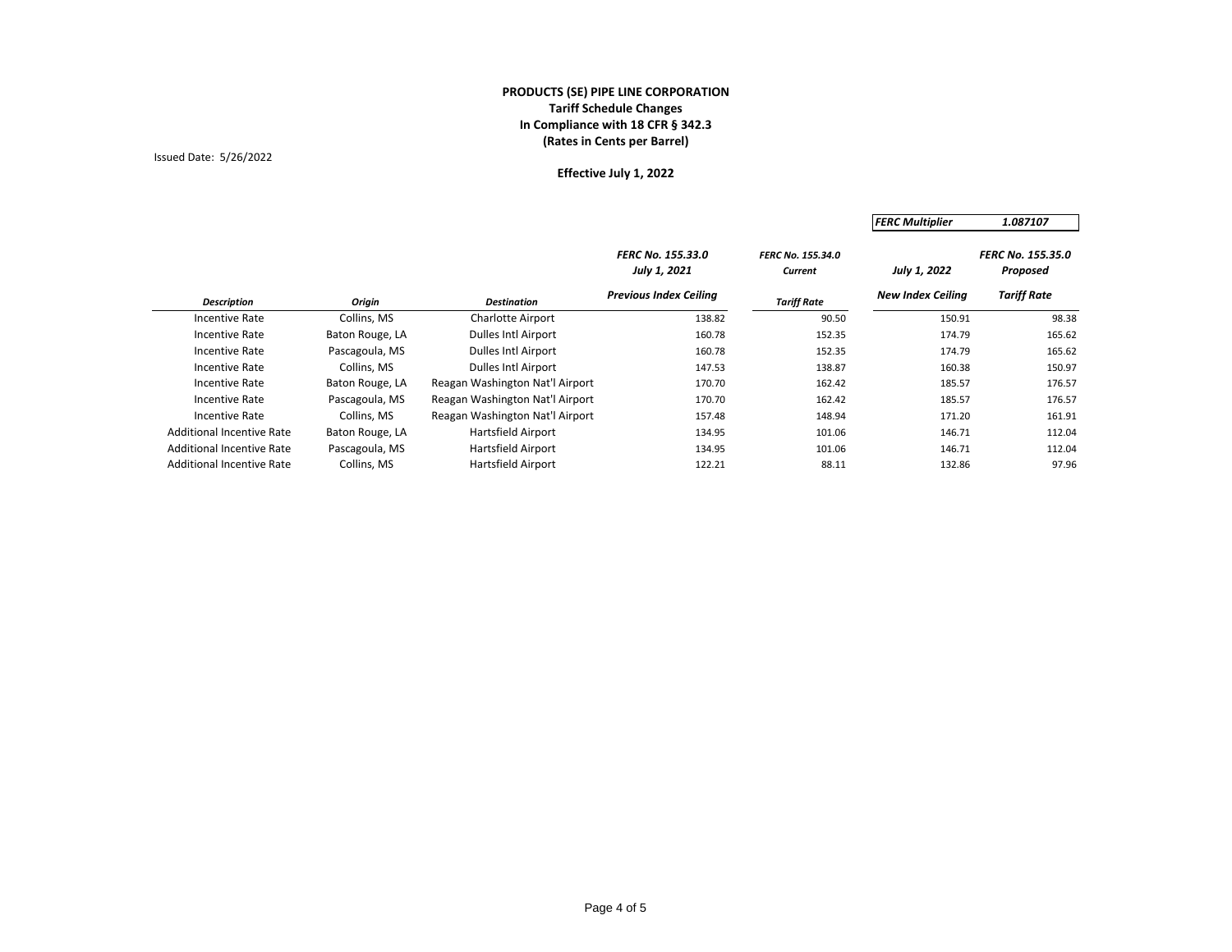# Issued Date: 5/26/2022

|                                  |                 |                                 |                                          |                                     | <b>FERC Multiplier</b>   | 1.087107                             |
|----------------------------------|-----------------|---------------------------------|------------------------------------------|-------------------------------------|--------------------------|--------------------------------------|
|                                  |                 |                                 | <b>FERC No. 155.33.0</b><br>July 1, 2021 | <b>FERC No. 155.34.0</b><br>Current | July 1, 2022             | <b>FERC No. 155.35.0</b><br>Proposed |
| <b>Description</b>               | Origin          | <b>Destination</b>              | <b>Previous Index Ceiling</b>            | <b>Tariff Rate</b>                  | <b>New Index Ceiling</b> | <b>Tariff Rate</b>                   |
| Incentive Rate                   | Collins, MS     | Charlotte Airport               | 138.82                                   | 90.50                               | 150.91                   | 98.38                                |
| <b>Incentive Rate</b>            | Baton Rouge, LA | Dulles Intl Airport             | 160.78                                   | 152.35                              | 174.79                   | 165.62                               |
| <b>Incentive Rate</b>            | Pascagoula, MS  | Dulles Intl Airport             | 160.78                                   | 152.35                              | 174.79                   | 165.62                               |
| Incentive Rate                   | Collins, MS     | Dulles Intl Airport             | 147.53                                   | 138.87                              | 160.38                   | 150.97                               |
| <b>Incentive Rate</b>            | Baton Rouge, LA | Reagan Washington Nat'l Airport | 170.70                                   | 162.42                              | 185.57                   | 176.57                               |
| <b>Incentive Rate</b>            | Pascagoula, MS  | Reagan Washington Nat'l Airport | 170.70                                   | 162.42                              | 185.57                   | 176.57                               |
| Incentive Rate                   | Collins, MS     | Reagan Washington Nat'l Airport | 157.48                                   | 148.94                              | 171.20                   | 161.91                               |
| <b>Additional Incentive Rate</b> | Baton Rouge, LA | <b>Hartsfield Airport</b>       | 134.95                                   | 101.06                              | 146.71                   | 112.04                               |
| <b>Additional Incentive Rate</b> | Pascagoula, MS  | <b>Hartsfield Airport</b>       | 134.95                                   | 101.06                              | 146.71                   | 112.04                               |
| <b>Additional Incentive Rate</b> | Collins, MS     | Hartsfield Airport              | 122.21                                   | 88.11                               | 132.86                   | 97.96                                |